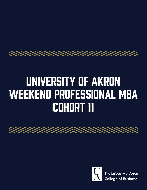

# University of Akron University of Akron Weekend Professional MBA Weekend Professional MBA Cohort 11 Cohort 11

<u> The Manual Company of the Company of the Company of the Company of the Company of the Company of the Company of the Company of the Company of the Company of the Company of the Company of the Company of the Company of the</u>



The University of Akron **College of Business**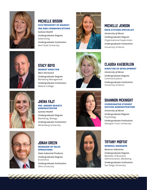

# Michelle Bisson **VICE PRESIDENT OF MARKET-ING AND COMMUNICATIONS**

*Summa Health* **Undergraduate Degree:** Advertising **Undergraduate Institution:**  Kent State University



# Michelle Jenson

#### **DATA SYSTEMS SPECIALIST**

*University of Akron* **Undergraduate Degree:**  Organizational Supervision **Undergraduate Institution:** University of Akron



# Stacy Boyd **MARKET DIRECTOR** *Mars Horsecare*

**Undergraduate Degree:**  Marketing Management **Undergraduate Institution:**  Malone College



### Claudia Kaeberlein **DIRECTOR OF DEVELOPMENT**

*University of Akron* **Undergraduate Degree:**  Communications **Undergraduate Institution:** University of Akron



# Jhena Fajt **PRE- AWARD GRANTS ADMINISTRATOR**

*Summa Health* **Undergraduate Degree:** Marketing, Biology **Undergraduate Institution:**  Wittenberg University



#### Shannon McKnight **COORDINATOR STUDENT SUCCESS ADMINISTRATION**

*University of Akron* **Undergraduate Degree:**  Psychology **Undergraduate Institution:**  Georgian Court University



#### Jonah Green **MANAGER OF SALES OPERATIONS**

*State Industrial Products* **Undergraduate Degree:** Economics **Undergraduate Institution:**  Ohio University



#### Tiffany Moffat **GENERAL MANAGER**

*Neutron Industries* **Undergraduate Degree:**  Bachelor of Business Administration, Marketing **Undergraduate Institution:** San Diego University